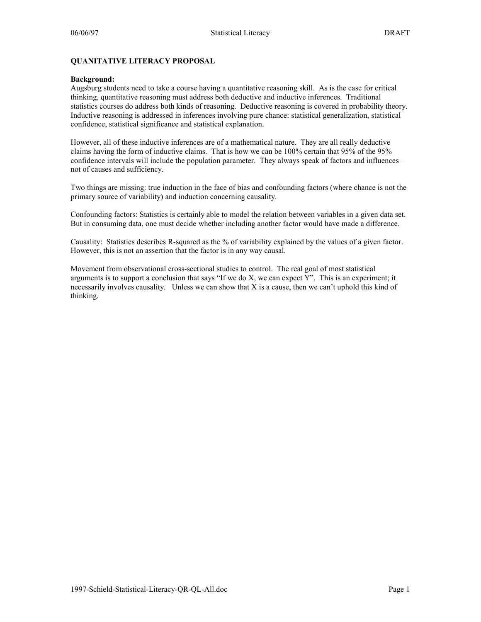# **QUANITATIVE LITERACY PROPOSAL**

#### **Background:**

Augsburg students need to take a course having a quantitative reasoning skill. As is the case for critical thinking, quantitative reasoning must address both deductive and inductive inferences. Traditional statistics courses do address both kinds of reasoning. Deductive reasoning is covered in probability theory. Inductive reasoning is addressed in inferences involving pure chance: statistical generalization, statistical confidence, statistical significance and statistical explanation.

However, all of these inductive inferences are of a mathematical nature. They are all really deductive claims having the form of inductive claims. That is how we can be 100% certain that 95% of the 95% confidence intervals will include the population parameter. They always speak of factors and influences – not of causes and sufficiency.

Two things are missing: true induction in the face of bias and confounding factors (where chance is not the primary source of variability) and induction concerning causality.

Confounding factors: Statistics is certainly able to model the relation between variables in a given data set. But in consuming data, one must decide whether including another factor would have made a difference.

Causality: Statistics describes R-squared as the % of variability explained by the values of a given factor. However, this is not an assertion that the factor is in any way causal.

Movement from observational cross-sectional studies to control. The real goal of most statistical arguments is to support a conclusion that says "If we do X, we can expect Y". This is an experiment; it necessarily involves causality. Unless we can show that X is a cause, then we can't uphold this kind of thinking.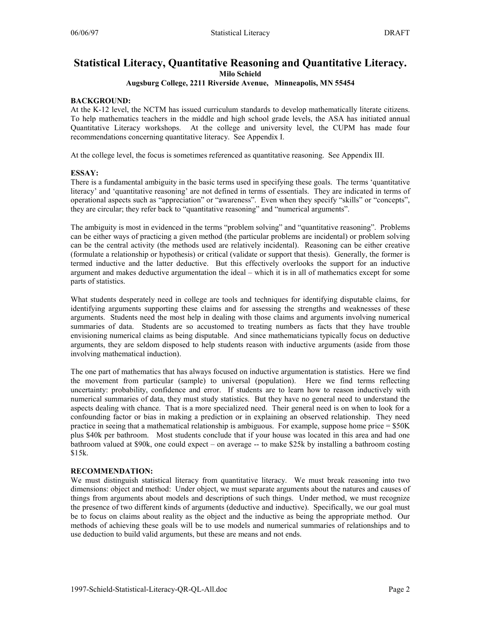# **Statistical Literacy, Quantitative Reasoning and Quantitative Literacy. Milo Schield Augsburg College, 2211 Riverside Avenue, Minneapolis, MN 55454**

# **BACKGROUND:**

At the K-12 level, the NCTM has issued curriculum standards to develop mathematically literate citizens. To help mathematics teachers in the middle and high school grade levels, the ASA has initiated annual Quantitative Literacy workshops. At the college and university level, the CUPM has made four recommendations concerning quantitative literacy. See Appendix I.

At the college level, the focus is sometimes referenced as quantitative reasoning. See Appendix III.

### **ESSAY:**

There is a fundamental ambiguity in the basic terms used in specifying these goals. The terms 'quantitative literacy' and 'quantitative reasoning' are not defined in terms of essentials. They are indicated in terms of operational aspects such as "appreciation" or "awareness". Even when they specify "skills" or "concepts", they are circular; they refer back to "quantitative reasoning" and "numerical arguments".

The ambiguity is most in evidenced in the terms "problem solving" and "quantitative reasoning". Problems can be either ways of practicing a given method (the particular problems are incidental) or problem solving can be the central activity (the methods used are relatively incidental). Reasoning can be either creative (formulate a relationship or hypothesis) or critical (validate or support that thesis). Generally, the former is termed inductive and the latter deductive. But this effectively overlooks the support for an inductive argument and makes deductive argumentation the ideal – which it is in all of mathematics except for some parts of statistics.

What students desperately need in college are tools and techniques for identifying disputable claims, for identifying arguments supporting these claims and for assessing the strengths and weaknesses of these arguments. Students need the most help in dealing with those claims and arguments involving numerical summaries of data. Students are so accustomed to treating numbers as facts that they have trouble envisioning numerical claims as being disputable. And since mathematicians typically focus on deductive arguments, they are seldom disposed to help students reason with inductive arguments (aside from those involving mathematical induction).

The one part of mathematics that has always focused on inductive argumentation is statistics. Here we find the movement from particular (sample) to universal (population). Here we find terms reflecting uncertainty: probability, confidence and error. If students are to learn how to reason inductively with numerical summaries of data, they must study statistics. But they have no general need to understand the aspects dealing with chance. That is a more specialized need. Their general need is on when to look for a confounding factor or bias in making a prediction or in explaining an observed relationship. They need practice in seeing that a mathematical relationship is ambiguous. For example, suppose home price  $=$  \$50K plus \$40k per bathroom. Most students conclude that if your house was located in this area and had one bathroom valued at \$90k, one could expect – on average -- to make \$25k by installing a bathroom costing \$15k.

#### **RECOMMENDATION:**

We must distinguish statistical literacy from quantitative literacy. We must break reasoning into two dimensions: object and method: Under object, we must separate arguments about the natures and causes of things from arguments about models and descriptions of such things. Under method, we must recognize the presence of two different kinds of arguments (deductive and inductive). Specifically, we our goal must be to focus on claims about reality as the object and the inductive as being the appropriate method. Our methods of achieving these goals will be to use models and numerical summaries of relationships and to use deduction to build valid arguments, but these are means and not ends.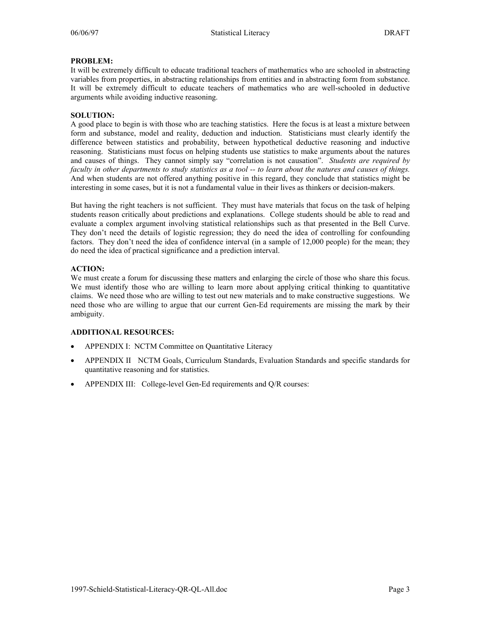### **PROBLEM:**

It will be extremely difficult to educate traditional teachers of mathematics who are schooled in abstracting variables from properties, in abstracting relationships from entities and in abstracting form from substance. It will be extremely difficult to educate teachers of mathematics who are well-schooled in deductive arguments while avoiding inductive reasoning.

### **SOLUTION:**

A good place to begin is with those who are teaching statistics. Here the focus is at least a mixture between form and substance, model and reality, deduction and induction. Statisticians must clearly identify the difference between statistics and probability, between hypothetical deductive reasoning and inductive reasoning. Statisticians must focus on helping students use statistics to make arguments about the natures and causes of things. They cannot simply say "correlation is not causation". *Students are required by faculty in other departments to study statistics as a tool -- to learn about the natures and causes of things.* And when students are not offered anything positive in this regard, they conclude that statistics might be interesting in some cases, but it is not a fundamental value in their lives as thinkers or decision-makers.

But having the right teachers is not sufficient. They must have materials that focus on the task of helping students reason critically about predictions and explanations. College students should be able to read and evaluate a complex argument involving statistical relationships such as that presented in the Bell Curve. They don't need the details of logistic regression; they do need the idea of controlling for confounding factors. They don't need the idea of confidence interval (in a sample of 12,000 people) for the mean; they do need the idea of practical significance and a prediction interval.

### **ACTION:**

We must create a forum for discussing these matters and enlarging the circle of those who share this focus. We must identify those who are willing to learn more about applying critical thinking to quantitative claims. We need those who are willing to test out new materials and to make constructive suggestions. We need those who are willing to argue that our current Gen-Ed requirements are missing the mark by their ambiguity.

#### **ADDITIONAL RESOURCES:**

- APPENDIX I: NCTM Committee on Quantitative Literacy
- APPENDIX II NCTM Goals, Curriculum Standards, Evaluation Standards and specific standards for quantitative reasoning and for statistics.
- APPENDIX III: College-level Gen-Ed requirements and Q/R courses: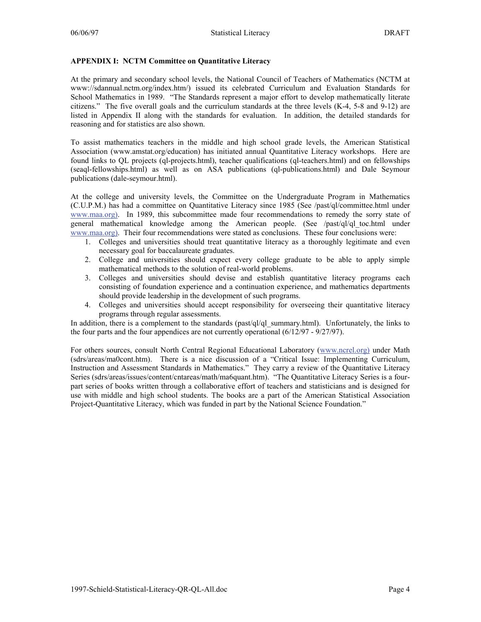### **APPENDIX I: NCTM Committee on Quantitative Literacy**

At the primary and secondary school levels, the National Council of Teachers of Mathematics (NCTM at www://sdannual.nctm.org/index.htm/) issued its celebrated Curriculum and Evaluation Standards for School Mathematics in 1989. "The Standards represent a major effort to develop mathematically literate citizens." The five overall goals and the curriculum standards at the three levels (K-4, 5-8 and 9-12) are listed in Appendix II along with the standards for evaluation. In addition, the detailed standards for reasoning and for statistics are also shown.

To assist mathematics teachers in the middle and high school grade levels, the American Statistical Association (www.amstat.org/education) has initiated annual Quantitative Literacy workshops. Here are found links to QL projects (ql-projects.html), teacher qualifications (ql-teachers.html) and on fellowships (seaql-fellowships.html) as well as on ASA publications (ql-publications.html) and Dale Seymour publications (dale-seymour.html).

At the college and university levels, the Committee on the Undergraduate Program in Mathematics (C.U.P.M.) has had a committee on Quantitative Literacy since 1985 (See /past/ql/committee.html under [www.maa.org\).](http://www.maa.org)/) In 1989, this subcommittee made four recommendations to remedy the sorry state of general mathematical knowledge among the American people. (See /past/ql/ql\_toc.html under [www.maa.org\).](http://www.maa.org)/) Their four recommendations were stated as conclusions. These four conclusions were:

- 1. Colleges and universities should treat quantitative literacy as a thoroughly legitimate and even necessary goal for baccalaureate graduates.
- 2. College and universities should expect every college graduate to be able to apply simple mathematical methods to the solution of real-world problems.
- 3. Colleges and universities should devise and establish quantitative literacy programs each consisting of foundation experience and a continuation experience, and mathematics departments should provide leadership in the development of such programs.
- 4. Colleges and universities should accept responsibility for overseeing their quantitative literacy programs through regular assessments.

In addition, there is a complement to the standards (past/ql/ql\_summary.html). Unfortunately, the links to the four parts and the four appendices are not currently operational  $(6/12/97 - 9/27/97)$ .

For others sources, consult North Central Regional Educational Laboratory [\(www.ncrel.org\)](http://www.ncrel.org)/) under Math (sdrs/areas/ma0cont.htm). There is a nice discussion of a "Critical Issue: Implementing Curriculum, Instruction and Assessment Standards in Mathematics." They carry a review of the Quantitative Literacy Series (sdrs/areas/issues/content/cntareas/math/ma6quant.htm). "The Quantitative Literacy Series is a fourpart series of books written through a collaborative effort of teachers and statisticians and is designed for use with middle and high school students. The books are a part of the American Statistical Association Project-Quantitative Literacy, which was funded in part by the National Science Foundation."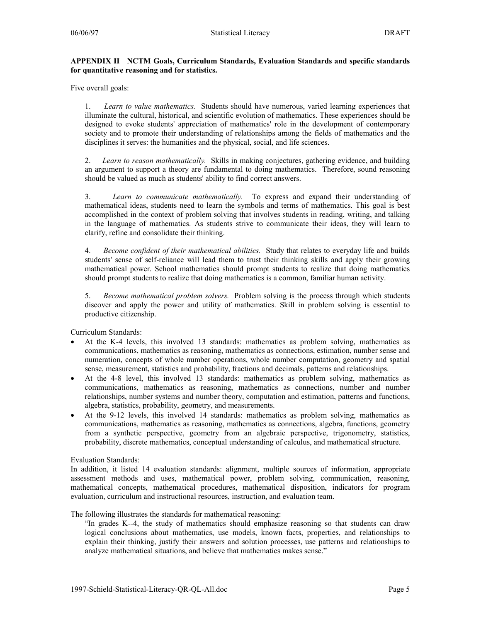#### **APPENDIX II NCTM Goals, Curriculum Standards, Evaluation Standards and specific standards for quantitative reasoning and for statistics.**

Five overall goals:

1. *Learn to value mathematics.* Students should have numerous, varied learning experiences that illuminate the cultural, historical, and scientific evolution of mathematics. These experiences should be designed to evoke students' appreciation of mathematics' role in the development of contemporary society and to promote their understanding of relationships among the fields of mathematics and the disciplines it serves: the humanities and the physical, social, and life sciences.

2. *Learn to reason mathematically.* Skills in making conjectures, gathering evidence, and building an argument to support a theory are fundamental to doing mathematics. Therefore, sound reasoning should be valued as much as students' ability to find correct answers.

3. *Learn to communicate mathematically.* To express and expand their understanding of mathematical ideas, students need to learn the symbols and terms of mathematics. This goal is best accomplished in the context of problem solving that involves students in reading, writing, and talking in the language of mathematics. As students strive to communicate their ideas, they will learn to clarify, refine and consolidate their thinking.

4. *Become confident of their mathematical abilities.* Study that relates to everyday life and builds students' sense of self-reliance will lead them to trust their thinking skills and apply their growing mathematical power. School mathematics should prompt students to realize that doing mathematics should prompt students to realize that doing mathematics is a common, familiar human activity.

5. *Become mathematical problem solvers.* Problem solving is the process through which students discover and apply the power and utility of mathematics. Skill in problem solving is essential to productive citizenship.

Curriculum Standards:

- At the K-4 levels, this involved 13 standards: mathematics as problem solving, mathematics as communications, mathematics as reasoning, mathematics as connections, estimation, number sense and numeration, concepts of whole number operations, whole number computation, geometry and spatial sense, measurement, statistics and probability, fractions and decimals, patterns and relationships.
- At the 4-8 level, this involved 13 standards: mathematics as problem solving, mathematics as communications, mathematics as reasoning, mathematics as connections, number and number relationships, number systems and number theory, computation and estimation, patterns and functions, algebra, statistics, probability, geometry, and measurements.
- At the 9-12 levels, this involved 14 standards: mathematics as problem solving, mathematics as communications, mathematics as reasoning, mathematics as connections, algebra, functions, geometry from a synthetic perspective, geometry from an algebraic perspective, trigonometry, statistics, probability, discrete mathematics, conceptual understanding of calculus, and mathematical structure.

#### Evaluation Standards:

In addition, it listed 14 evaluation standards: alignment, multiple sources of information, appropriate assessment methods and uses, mathematical power, problem solving, communication, reasoning, mathematical concepts, mathematical procedures, mathematical disposition, indicators for program evaluation, curriculum and instructional resources, instruction, and evaluation team.

The following illustrates the standards for mathematical reasoning:

"In grades K--4, the study of mathematics should emphasize reasoning so that students can draw logical conclusions about mathematics, use models, known facts, properties, and relationships to explain their thinking, justify their answers and solution processes, use patterns and relationships to analyze mathematical situations, and believe that mathematics makes sense."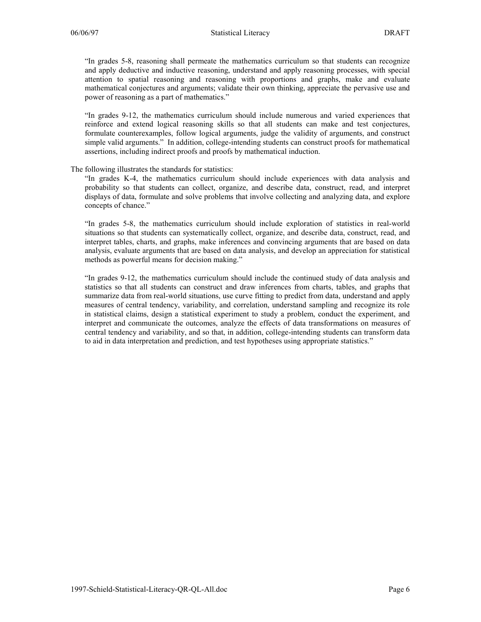"In grades 5-8, reasoning shall permeate the mathematics curriculum so that students can recognize and apply deductive and inductive reasoning, understand and apply reasoning processes, with special attention to spatial reasoning and reasoning with proportions and graphs, make and evaluate mathematical conjectures and arguments; validate their own thinking, appreciate the pervasive use and power of reasoning as a part of mathematics."

"In grades 9-12, the mathematics curriculum should include numerous and varied experiences that reinforce and extend logical reasoning skills so that all students can make and test conjectures, formulate counterexamples, follow logical arguments, judge the validity of arguments, and construct simple valid arguments." In addition, college-intending students can construct proofs for mathematical assertions, including indirect proofs and proofs by mathematical induction.

#### The following illustrates the standards for statistics:

"In grades K-4, the mathematics curriculum should include experiences with data analysis and probability so that students can collect, organize, and describe data, construct, read, and interpret displays of data, formulate and solve problems that involve collecting and analyzing data, and explore concepts of chance."

"In grades 5-8, the mathematics curriculum should include exploration of statistics in real-world situations so that students can systematically collect, organize, and describe data, construct, read, and interpret tables, charts, and graphs, make inferences and convincing arguments that are based on data analysis, evaluate arguments that are based on data analysis, and develop an appreciation for statistical methods as powerful means for decision making."

"In grades 9-12, the mathematics curriculum should include the continued study of data analysis and statistics so that all students can construct and draw inferences from charts, tables, and graphs that summarize data from real-world situations, use curve fitting to predict from data, understand and apply measures of central tendency, variability, and correlation, understand sampling and recognize its role in statistical claims, design a statistical experiment to study a problem, conduct the experiment, and interpret and communicate the outcomes, analyze the effects of data transformations on measures of central tendency and variability, and so that, in addition, college-intending students can transform data to aid in data interpretation and prediction, and test hypotheses using appropriate statistics."